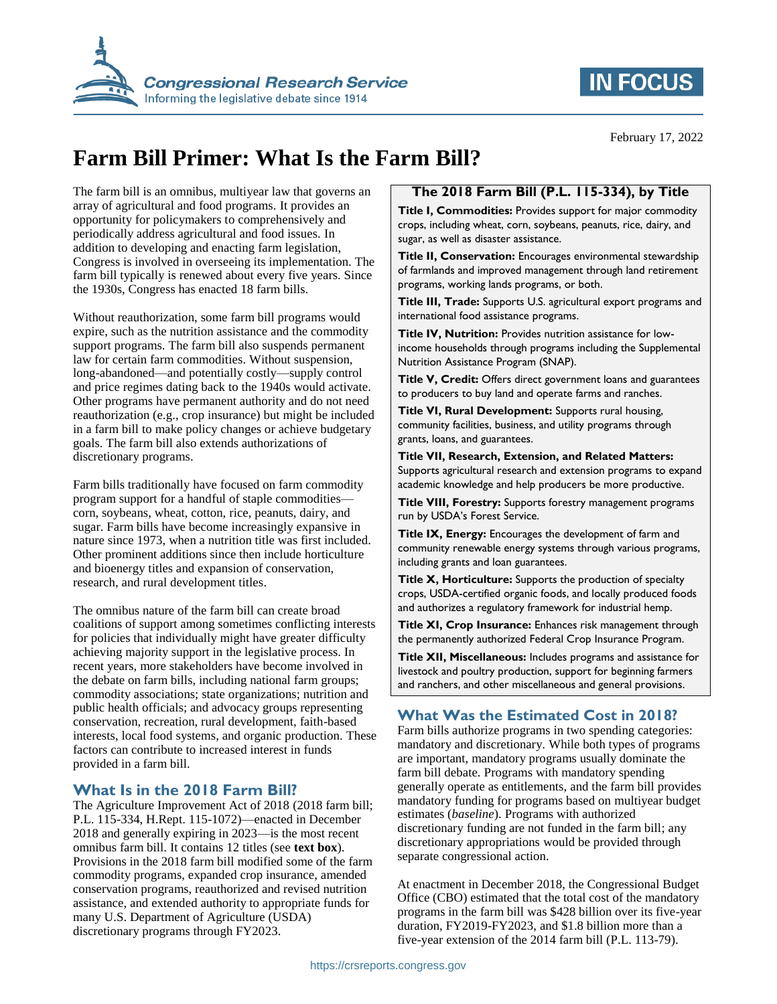

## **IN FOCUS**

February 17, 2022

# **Farm Bill Primer: What Is the Farm Bill?**

The farm bill is an omnibus, multiyear law that governs an array of agricultural and food programs. It provides an opportunity for policymakers to comprehensively and periodically address agricultural and food issues. In addition to developing and enacting farm legislation, Congress is involved in overseeing its implementation. The farm bill typically is renewed about every five years. Since the 1930s, Congress has enacted 18 farm bills.

Without reauthorization, some farm bill programs would expire, such as the nutrition assistance and the commodity support programs. The farm bill also suspends permanent law for certain farm commodities. Without suspension, long-abandoned—and potentially costly—supply control and price regimes dating back to the 1940s would activate. Other programs have permanent authority and do not need reauthorization (e.g., crop insurance) but might be included in a farm bill to make policy changes or achieve budgetary goals. The farm bill also extends authorizations of discretionary programs.

Farm bills traditionally have focused on farm commodity program support for a handful of staple commodities corn, soybeans, wheat, cotton, rice, peanuts, dairy, and sugar. Farm bills have become increasingly expansive in nature since 1973, when a nutrition title was first included. Other prominent additions since then include horticulture and bioenergy titles and expansion of conservation, research, and rural development titles.

The omnibus nature of the farm bill can create broad coalitions of support among sometimes conflicting interests for policies that individually might have greater difficulty achieving majority support in the legislative process. In recent years, more stakeholders have become involved in the debate on farm bills, including national farm groups; commodity associations; state organizations; nutrition and public health officials; and advocacy groups representing conservation, recreation, rural development, faith-based interests, local food systems, and organic production. These factors can contribute to increased interest in funds provided in a farm bill.

### **What Is in the 2018 Farm Bill?**

The Agriculture Improvement Act of 2018 (2018 farm bill; P.L. 115-334, H.Rept. 115-1072)—enacted in December 2018 and generally expiring in 2023—is the most recent omnibus farm bill. It contains 12 titles (see **text box**). Provisions in the 2018 farm bill modified some of the farm commodity programs, expanded crop insurance, amended conservation programs, reauthorized and revised nutrition assistance, and extended authority to appropriate funds for many U.S. Department of Agriculture (USDA) discretionary programs through FY2023.

## **The 2018 Farm Bill (P.L. 115-334), by Title**

**Title I, Commodities:** Provides support for major commodity crops, including wheat, corn, soybeans, peanuts, rice, dairy, and sugar, as well as disaster assistance.

**Title II, Conservation:** Encourages environmental stewardship of farmlands and improved management through land retirement programs, working lands programs, or both.

**Title III, Trade:** Supports U.S. agricultural export programs and international food assistance programs.

**Title IV, Nutrition:** Provides nutrition assistance for lowincome households through programs including the Supplemental Nutrition Assistance Program (SNAP).

**Title V, Credit:** Offers direct government loans and guarantees to producers to buy land and operate farms and ranches.

**Title VI, Rural Development:** Supports rural housing, community facilities, business, and utility programs through grants, loans, and guarantees.

**Title VII, Research, Extension, and Related Matters:** Supports agricultural research and extension programs to expand academic knowledge and help producers be more productive.

**Title VIII, Forestry:** Supports forestry management programs run by USDA's Forest Service.

**Title IX, Energy:** Encourages the development of farm and community renewable energy systems through various programs, including grants and loan guarantees.

**Title X, Horticulture:** Supports the production of specialty crops, USDA-certified organic foods, and locally produced foods and authorizes a regulatory framework for industrial hemp.

**Title XI, Crop Insurance:** Enhances risk management through the permanently authorized Federal Crop Insurance Program.

**Title XII, Miscellaneous:** Includes programs and assistance for livestock and poultry production, support for beginning farmers and ranchers, and other miscellaneous and general provisions.

## **What Was the Estimated Cost in 2018?**

Farm bills authorize programs in two spending categories: mandatory and discretionary. While both types of programs are important, mandatory programs usually dominate the farm bill debate. Programs with mandatory spending generally operate as entitlements, and the farm bill provides mandatory funding for programs based on multiyear budget estimates (*baseline*). Programs with authorized discretionary funding are not funded in the farm bill; any discretionary appropriations would be provided through separate congressional action.

At enactment in December 2018, the Congressional Budget Office (CBO) estimated that the total cost of the mandatory programs in the farm bill was \$428 billion over its five-year duration, FY2019-FY2023, and \$1.8 billion more than a five-year extension of the 2014 farm bill (P.L. 113-79).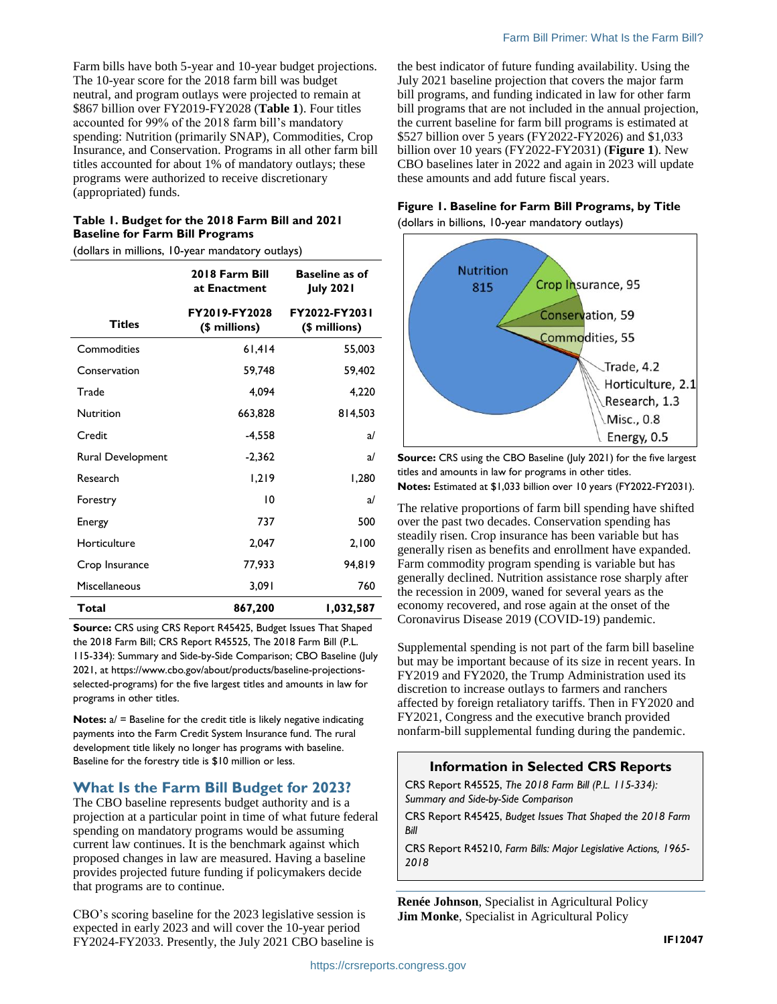Farm bills have both 5-year and 10-year budget projections. The 10-year score for the 2018 farm bill was budget neutral, and program outlays were projected to remain at \$867 billion over FY2019-FY2028 (**[Table 1](#page-1-0)**). Four titles accounted for 99% of the 2018 farm bill's mandatory spending: Nutrition (primarily SNAP), Commodities, Crop Insurance, and Conservation. Programs in all other farm bill titles accounted for about 1% of mandatory outlays; these programs were authorized to receive discretionary (appropriated) funds.

#### <span id="page-1-0"></span>**Table 1. Budget for the 2018 Farm Bill and 2021 Baseline for Farm Bill Programs**

(dollars in millions, 10-year mandatory outlays)

|                   | 2018 Farm Bill<br>at Enactment | <b>Baseline as of</b><br><b>July 2021</b> |
|-------------------|--------------------------------|-------------------------------------------|
| <b>Titles</b>     | FY2019-FY2028<br>(\$ millions) | FY2022-FY2031<br>(\$ millions)            |
| Commodities       | 61,414                         | 55,003                                    |
| Conservation      | 59,748                         | 59,402                                    |
| Trade             | 4.094                          | 4,220                                     |
| Nutrition         | 663,828                        | 814,503                                   |
| Credit            | $-4,558$                       | a/                                        |
| Rural Development | $-2,362$                       | a                                         |
| Research          | 1,219                          | 1,280                                     |
| Forestry          | 10                             | a                                         |
| Energy            | 737                            | 500                                       |
| Horticulture      | 2,047                          | 2,100                                     |
| Crop Insurance    | 77,933                         | 94,819                                    |
| Miscellaneous     | 3,091                          | 760                                       |
| Total             | 867,200                        | 1,032,587                                 |

**Source:** CRS using CRS Report R45425, Budget Issues That Shaped the 2018 Farm Bill; CRS Report R45525, The 2018 Farm Bill (P.L. 115-334): Summary and Side-by-Side Comparison; CBO Baseline (July 2021, at https://www.cbo.gov/about/products/baseline-projectionsselected-programs) for the five largest titles and amounts in law for programs in other titles.

**Notes:**  $a/$  = Baseline for the credit title is likely negative indicating payments into the Farm Credit System Insurance fund. The rural development title likely no longer has programs with baseline. Baseline for the forestry title is \$10 million or less.

### **What Is the Farm Bill Budget for 2023?**

The CBO baseline represents budget authority and is a projection at a particular point in time of what future federal spending on mandatory programs would be assuming current law continues. It is the benchmark against which proposed changes in law are measured. Having a baseline provides projected future funding if policymakers decide that programs are to continue.

CBO's scoring baseline for the 2023 legislative session is expected in early 2023 and will cover the 10-year period FY2024-FY2033. Presently, the July 2021 CBO baseline is the best indicator of future funding availability. Using the July 2021 baseline projection that covers the major farm bill programs, and funding indicated in law for other farm bill programs that are not included in the annual projection, the current baseline for farm bill programs is estimated at \$527 billion over 5 years (FY2022-FY2026) and \$1,033 billion over 10 years (FY2022-FY2031) (**[Figure 1](#page-1-1)**). New CBO baselines later in 2022 and again in 2023 will update these amounts and add future fiscal years.

#### <span id="page-1-1"></span>**Figure 1. Baseline for Farm Bill Programs, by Title**

(dollars in billions, 10-year mandatory outlays)



**Source:** CRS using the CBO Baseline (July 2021) for the five largest titles and amounts in law for programs in other titles. **Notes:** Estimated at \$1,033 billion over 10 years (FY2022-FY2031).

The relative proportions of farm bill spending have shifted over the past two decades. Conservation spending has steadily risen. Crop insurance has been variable but has generally risen as benefits and enrollment have expanded. Farm commodity program spending is variable but has generally declined. Nutrition assistance rose sharply after the recession in 2009, waned for several years as the economy recovered, and rose again at the onset of the Coronavirus Disease 2019 (COVID-19) pandemic.

Supplemental spending is not part of the farm bill baseline but may be important because of its size in recent years. In FY2019 and FY2020, the Trump Administration used its discretion to increase outlays to farmers and ranchers affected by foreign retaliatory tariffs. Then in FY2020 and FY2021, Congress and the executive branch provided nonfarm-bill supplemental funding during the pandemic.

## **Information in Selected CRS Reports**

CRS Report R45525, *The 2018 Farm Bill (P.L. 115-334): Summary and Side-by-Side Comparison*

CRS Report R45425, *Budget Issues That Shaped the 2018 Farm Bill*

CRS Report R45210, *Farm Bills: Major Legislative Actions, 1965- 2018*

**Renée Johnson**, Specialist in Agricultural Policy **Jim Monke**, Specialist in Agricultural Policy